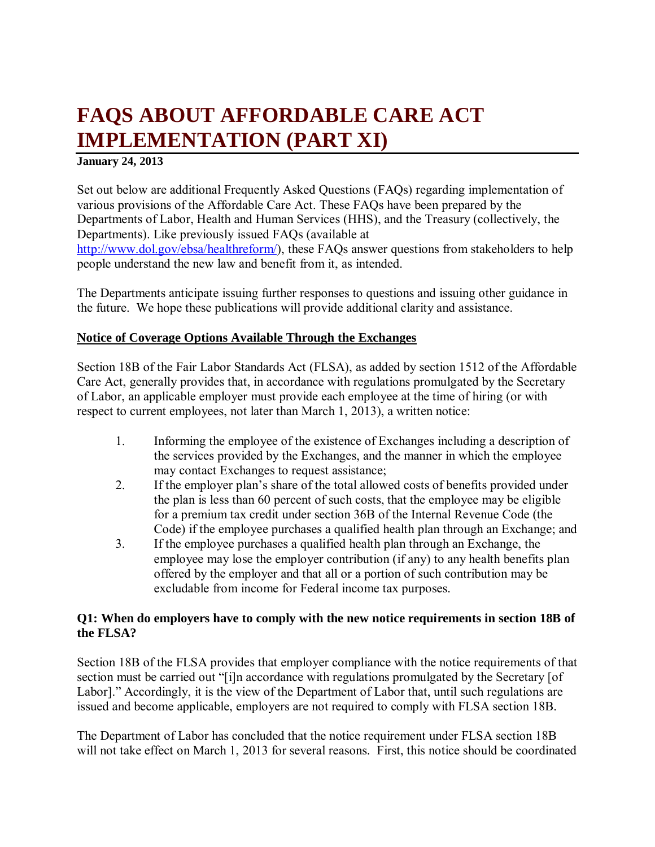# **FAQS ABOUT AFFORDABLE CARE ACT IMPLEMENTATION (PART XI)**

#### **January 24, 2013**

Set out below are additional Frequently Asked Questions (FAQs) regarding implementation of various provisions of the Affordable Care Act. These FAQs have been prepared by the Departments of Labor, Health and Human Services (HHS), and the Treasury (collectively, the Departments). Like previously issued FAQs (available at [http://www.dol.gov/ebsa/healthreform/\)](http://www.dol.gov/ebsa/healthreform/), these FAQs answer questions from stakeholders to help people understand the new law and benefit from it, as intended.

The Departments anticipate issuing further responses to questions and issuing other guidance in the future. We hope these publications will provide additional clarity and assistance.

# **Notice of Coverage Options Available Through the Exchanges**

Section 18B of the Fair Labor Standards Act (FLSA), as added by section 1512 of the Affordable Care Act, generally provides that, in accordance with regulations promulgated by the Secretary of Labor, an applicable employer must provide each employee at the time of hiring (or with respect to current employees, not later than March 1, 2013), a written notice:

- 1. Informing the employee of the existence of Exchanges including a description of the services provided by the Exchanges, and the manner in which the employee may contact Exchanges to request assistance;
- 2. If the employer plan's share of the total allowed costs of benefits provided under the plan is less than 60 percent of such costs, that the employee may be eligible for a premium tax credit under section 36B of the Internal Revenue Code (the Code) if the employee purchases a qualified health plan through an Exchange; and
- 3. If the employee purchases a qualified health plan through an Exchange, the employee may lose the employer contribution (if any) to any health benefits plan offered by the employer and that all or a portion of such contribution may be excludable from income for Federal income tax purposes.

# **Q1: When do employers have to comply with the new notice requirements in section 18B of the FLSA?**

Section 18B of the FLSA provides that employer compliance with the notice requirements of that section must be carried out "[i]n accordance with regulations promulgated by the Secretary [of Labor]." Accordingly, it is the view of the Department of Labor that, until such regulations are issued and become applicable, employers are not required to comply with FLSA section 18B.

<span id="page-0-0"></span>The Department of Labor has concluded that the notice requirement under FLSA section 18B will not take effect on March 1, 2013 for several reasons. First, this notice should be coordinated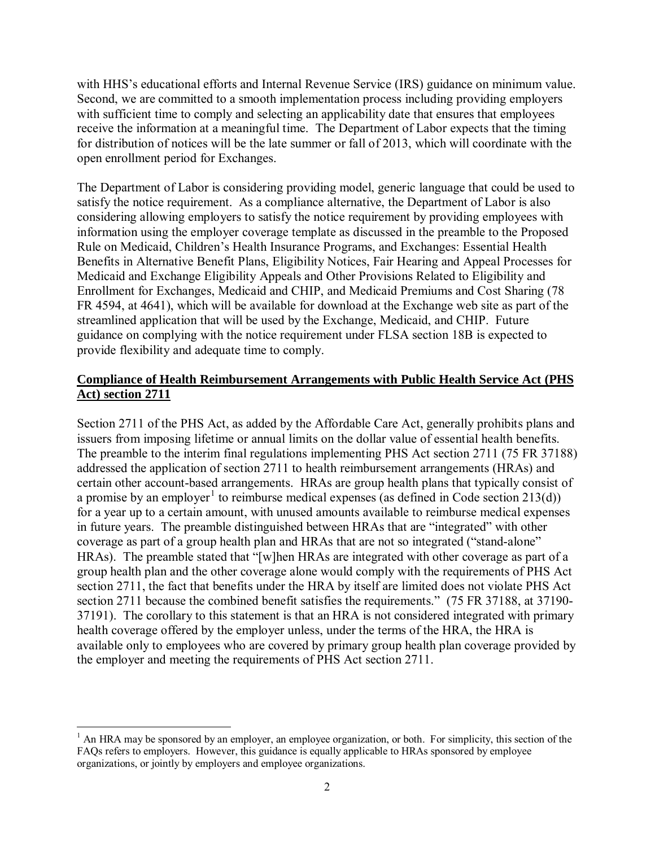with HHS's educational efforts and Internal Revenue Service (IRS) guidance on minimum value. Second, we are committed to a smooth implementation process including providing employers with sufficient time to comply and selecting an applicability date that ensures that employees receive the information at a meaningful time. The Department of Labor expects that the timing for distribution of notices will be the late summer or fall of 2013, which will coordinate with the open enrollment period for Exchanges.

The Department of Labor is considering providing model, generic language that could be used to satisfy the notice requirement. As a compliance alternative, the Department of Labor is also considering allowing employers to satisfy the notice requirement by providing employees with information using the employer coverage template as discussed in the preamble to the Proposed Rule on Medicaid, Children's Health Insurance Programs, and Exchanges: Essential Health Benefits in Alternative Benefit Plans, Eligibility Notices, Fair Hearing and Appeal Processes for Medicaid and Exchange Eligibility Appeals and Other Provisions Related to Eligibility and Enrollment for Exchanges, Medicaid and CHIP, and Medicaid Premiums and Cost Sharing (78 FR 4594, at 4641), which will be available for download at the Exchange web site as part of the streamlined application that will be used by the Exchange, Medicaid, and CHIP. Future guidance on complying with the notice requirement under FLSA section 18B is expected to provide flexibility and adequate time to comply.

#### **Compliance of Health Reimbursement Arrangements with Public Health Service Act (PHS Act) section 2711**

Section 2711 of the PHS Act, as added by the Affordable Care Act, generally prohibits plans and issuers from imposing lifetime or annual limits on the dollar value of essential health benefits. The preamble to the interim final regulations implementing PHS Act section 2711 (75 FR 37188) addressed the application of section 2711 to health reimbursement arrangements (HRAs) and certain other account-based arrangements. HRAs are group health plans that typically consist of a promise by an employer<sup>[1](#page-0-0)</sup> to reimburse medical expenses (as defined in Code section 213(d)) for a year up to a certain amount, with unused amounts available to reimburse medical expenses in future years. The preamble distinguished between HRAs that are "integrated" with other coverage as part of a group health plan and HRAs that are not so integrated ("stand-alone" HRAs). The preamble stated that "[w]hen HRAs are integrated with other coverage as part of a group health plan and the other coverage alone would comply with the requirements of PHS Act section 2711, the fact that benefits under the HRA by itself are limited does not violate PHS Act section 2711 because the combined benefit satisfies the requirements." (75 FR 37188, at 37190- 37191). The corollary to this statement is that an HRA is not considered integrated with primary health coverage offered by the employer unless, under the terms of the HRA, the HRA is available only to employees who are covered by primary group health plan coverage provided by the employer and meeting the requirements of PHS Act section 2711.

<span id="page-1-0"></span> $\overline{\phantom{a}}$  $<sup>1</sup>$  An HRA may be sponsored by an employer, an employee organization, or both. For simplicity, this section of the</sup> FAQs refers to employers. However, this guidance is equally applicable to HRAs sponsored by employee organizations, or jointly by employers and employee organizations.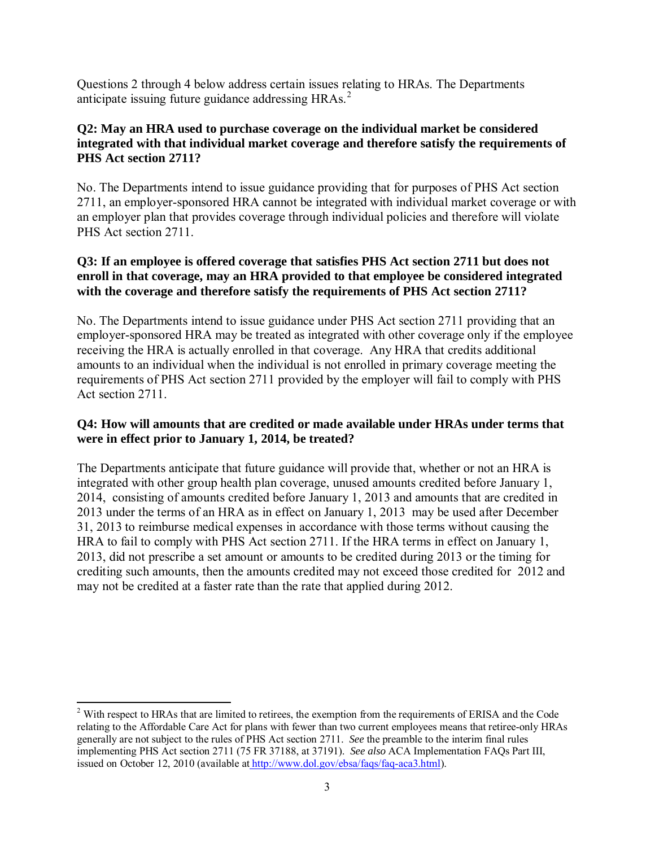Questions 2 through 4 below address certain issues relating to HRAs. The Departments anticipate issuing future guidance addressing HRAs.<sup>[2](#page-1-0)</sup>

# **Q2: May an HRA used to purchase coverage on the individual market be considered integrated with that individual market coverage and therefore satisfy the requirements of PHS Act section 2711?**

No. The Departments intend to issue guidance providing that for purposes of PHS Act section 2711, an employer-sponsored HRA cannot be integrated with individual market coverage or with an employer plan that provides coverage through individual policies and therefore will violate PHS Act section 2711.

# **Q3: If an employee is offered coverage that satisfies PHS Act section 2711 but does not enroll in that coverage, may an HRA provided to that employee be considered integrated with the coverage and therefore satisfy the requirements of PHS Act section 2711?**

No. The Departments intend to issue guidance under PHS Act section 2711 providing that an employer-sponsored HRA may be treated as integrated with other coverage only if the employee receiving the HRA is actually enrolled in that coverage. Any HRA that credits additional amounts to an individual when the individual is not enrolled in primary coverage meeting the requirements of PHS Act section 2711 provided by the employer will fail to comply with PHS Act section 2711.

# **Q4: How will amounts that are credited or made available under HRAs under terms that were in effect prior to January 1, 2014, be treated?**

The Departments anticipate that future guidance will provide that, whether or not an HRA is integrated with other group health plan coverage, unused amounts credited before January 1, 2014, consisting of amounts credited before January 1, 2013 and amounts that are credited in 2013 under the terms of an HRA as in effect on January 1, 2013 may be used after December 31, 2013 to reimburse medical expenses in accordance with those terms without causing the HRA to fail to comply with PHS Act section 2711. If the HRA terms in effect on January 1, 2013, did not prescribe a set amount or amounts to be credited during 2013 or the timing for crediting such amounts, then the amounts credited may not exceed those credited for 2012 and may not be credited at a faster rate than the rate that applied during 2012.

 $\overline{a}$ 

<span id="page-2-0"></span> $2$  With respect to HRAs that are limited to retirees, the exemption from the requirements of ERISA and the Code relating to the Affordable Care Act for plans with fewer than two current employees means that retiree-only HRAs generally are not subject to the rules of PHS Act section 2711. *See* the preamble to the interim final rules implementing PHS Act section 2711 (75 FR 37188, at 37191). *See also* ACA Implementation FAQs Part III, issued on October 12, 2010 (available at [http://www.dol.gov/ebsa/faqs/faq-aca3.html\)](http://www.dol.gov/ebsa/faqs/faq-aca3.html).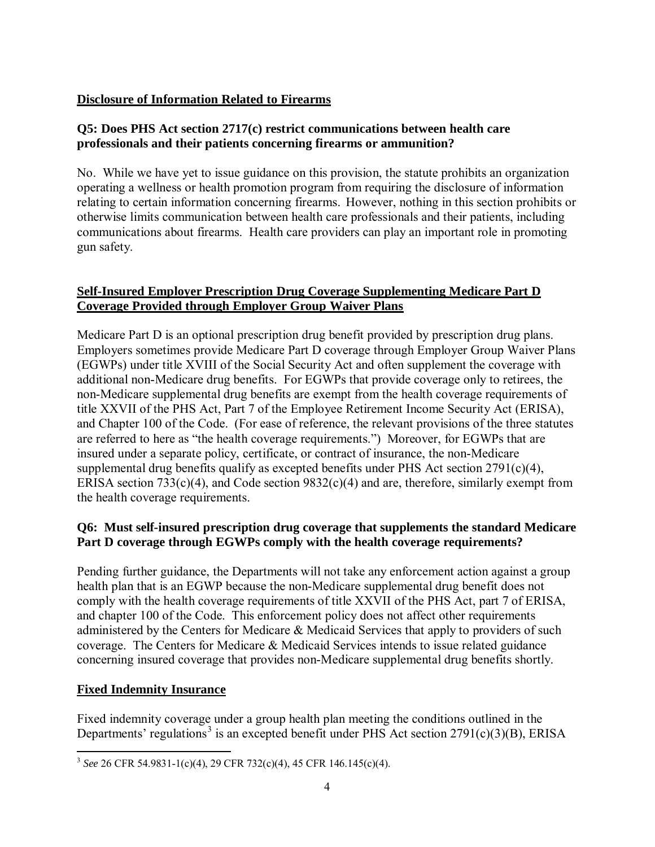#### **Disclosure of Information Related to Firearms**

#### **Q5: Does PHS Act section 2717(c) restrict communications between health care professionals and their patients concerning firearms or ammunition?**

No. While we have yet to issue guidance on this provision, the statute prohibits an organization operating a wellness or health promotion program from requiring the disclosure of information relating to certain information concerning firearms. However, nothing in this section prohibits or otherwise limits communication between health care professionals and their patients, including communications about firearms. Health care providers can play an important role in promoting gun safety.

# **Self-Insured Employer Prescription Drug Coverage Supplementing Medicare Part D Coverage Provided through Employer Group Waiver Plans**

Medicare Part D is an optional prescription drug benefit provided by prescription drug plans. Employers sometimes provide Medicare Part D coverage through Employer Group Waiver Plans (EGWPs) under title XVIII of the Social Security Act and often supplement the coverage with additional non-Medicare drug benefits. For EGWPs that provide coverage only to retirees, the non-Medicare supplemental drug benefits are exempt from the health coverage requirements of title XXVII of the PHS Act, Part 7 of the Employee Retirement Income Security Act (ERISA), and Chapter 100 of the Code. (For ease of reference, the relevant provisions of the three statutes are referred to here as "the health coverage requirements.") Moreover, for EGWPs that are insured under a separate policy, certificate, or contract of insurance, the non-Medicare supplemental drug benefits qualify as excepted benefits under PHS Act section 2791(c)(4), ERISA section  $733(c)(4)$ , and Code section  $9832(c)(4)$  and are, therefore, similarly exempt from the health coverage requirements.

# **Q6: Must self-insured prescription drug coverage that supplements the standard Medicare Part D coverage through EGWPs comply with the health coverage requirements?**

Pending further guidance, the Departments will not take any enforcement action against a group health plan that is an EGWP because the non-Medicare supplemental drug benefit does not comply with the health coverage requirements of title XXVII of the PHS Act, part 7 of ERISA, and chapter 100 of the Code. This enforcement policy does not affect other requirements administered by the Centers for Medicare & Medicaid Services that apply to providers of such coverage. The Centers for Medicare & Medicaid Services intends to issue related guidance concerning insured coverage that provides non-Medicare supplemental drug benefits shortly.

# **Fixed Indemnity Insurance**

Fixed indemnity coverage under a group health plan meeting the conditions outlined in the Departments' regulations<sup>[3](#page-2-0)</sup> is an excepted benefit under PHS Act section  $2791(c)(3)(B)$ , ERISA

<span id="page-3-0"></span> $\overline{a}$ <sup>3</sup> *See* 26 CFR 54.9831-1(c)(4), 29 CFR 732(c)(4), 45 CFR 146.145(c)(4).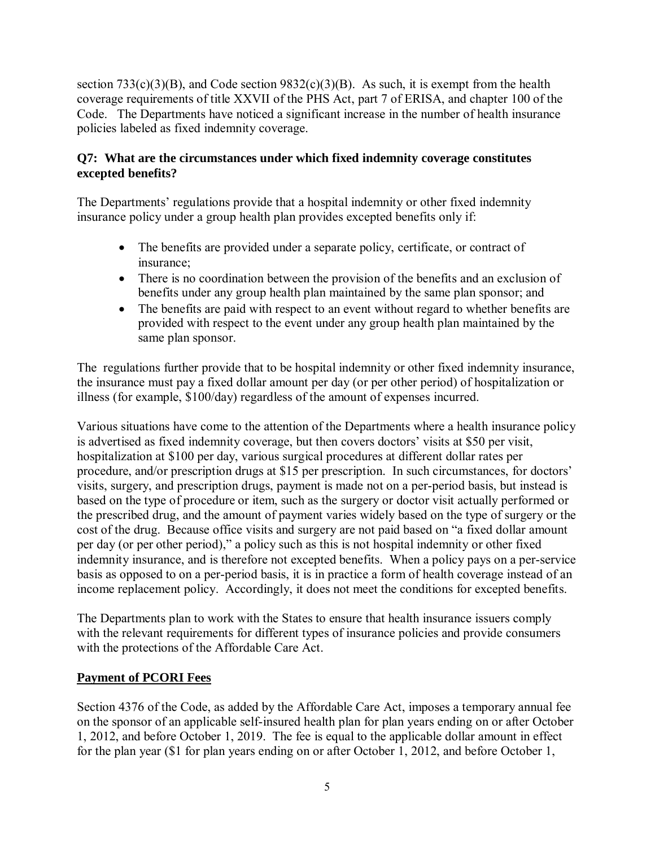section  $733(c)(3)(B)$ , and Code section  $9832(c)(3)(B)$ . As such, it is exempt from the health coverage requirements of title XXVII of the PHS Act, part 7 of ERISA, and chapter 100 of the Code. The Departments have noticed a significant increase in the number of health insurance policies labeled as fixed indemnity coverage.

# **Q7: What are the circumstances under which fixed indemnity coverage constitutes excepted benefits?**

The Departments' regulations provide that a hospital indemnity or other fixed indemnity insurance policy under a group health plan provides excepted benefits only if:

- The benefits are provided under a separate policy, certificate, or contract of insurance;
- There is no coordination between the provision of the benefits and an exclusion of benefits under any group health plan maintained by the same plan sponsor; and
- The benefits are paid with respect to an event without regard to whether benefits are provided with respect to the event under any group health plan maintained by the same plan sponsor.

The regulations further provide that to be hospital indemnity or other fixed indemnity insurance, the insurance must pay a fixed dollar amount per day (or per other period) of hospitalization or illness (for example, \$100/day) regardless of the amount of expenses incurred.

Various situations have come to the attention of the Departments where a health insurance policy is advertised as fixed indemnity coverage, but then covers doctors' visits at \$50 per visit, hospitalization at \$100 per day, various surgical procedures at different dollar rates per procedure, and/or prescription drugs at \$15 per prescription. In such circumstances, for doctors' visits, surgery, and prescription drugs, payment is made not on a per-period basis, but instead is based on the type of procedure or item, such as the surgery or doctor visit actually performed or the prescribed drug, and the amount of payment varies widely based on the type of surgery or the cost of the drug. Because office visits and surgery are not paid based on "a fixed dollar amount per day (or per other period)," a policy such as this is not hospital indemnity or other fixed indemnity insurance, and is therefore not excepted benefits. When a policy pays on a per-service basis as opposed to on a per-period basis, it is in practice a form of health coverage instead of an income replacement policy. Accordingly, it does not meet the conditions for excepted benefits.

The Departments plan to work with the States to ensure that health insurance issuers comply with the relevant requirements for different types of insurance policies and provide consumers with the protections of the Affordable Care Act.

# **Payment of PCORI Fees**

Section 4376 of the Code, as added by the Affordable Care Act, imposes a temporary annual fee on the sponsor of an applicable self-insured health plan for plan years ending on or after October 1, 2012, and before October 1, 2019. The fee is equal to the applicable dollar amount in effect for the plan year (\$1 for plan years ending on or after October 1, 2012, and before October 1,